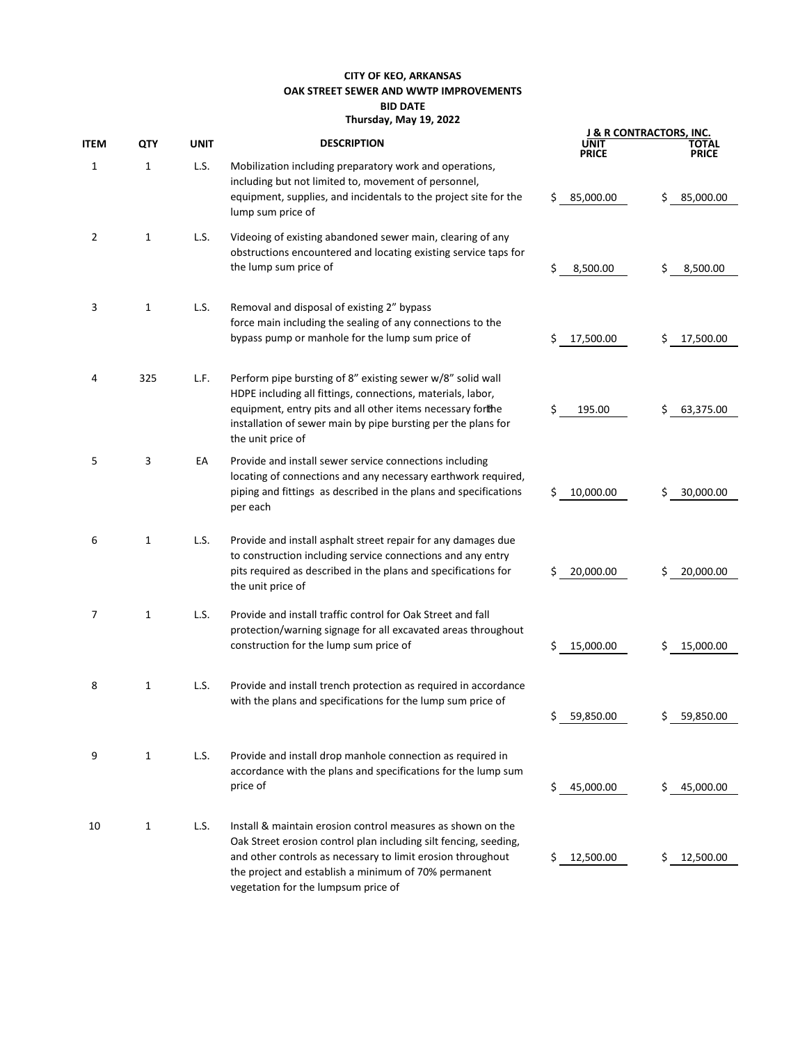## **CITY OF KEO, ARKANSAS OAK STREET SEWER AND WWTP IMPROVEMENTS BID DATE Thursday, May 19, 2022**

|      | QTY          | <b>UNIT</b> | <b>DESCRIPTION</b>                                                                                                                                                                                                                                                                            | J & R CONTRACTORS, INC. |                 |  |
|------|--------------|-------------|-----------------------------------------------------------------------------------------------------------------------------------------------------------------------------------------------------------------------------------------------------------------------------------------------|-------------------------|-----------------|--|
| ITEM |              |             |                                                                                                                                                                                                                                                                                               | UNIT<br>PRICE           | ΤΟΤΑL<br>PRICE  |  |
| 1    | $\mathbf{1}$ | L.S.        | Mobilization including preparatory work and operations,<br>including but not limited to, movement of personnel,<br>equipment, supplies, and incidentals to the project site for the<br>lump sum price of                                                                                      | 85,000.00<br>\$         | \$<br>85,000.00 |  |
| 2    | 1            | L.S.        | Videoing of existing abandoned sewer main, clearing of any<br>obstructions encountered and locating existing service taps for<br>the lump sum price of                                                                                                                                        | \$<br>8,500.00          | \$<br>8,500.00  |  |
| 3    | $\mathbf{1}$ | L.S.        | Removal and disposal of existing 2" bypass<br>force main including the sealing of any connections to the<br>bypass pump or manhole for the lump sum price of                                                                                                                                  | 17,500.00<br>S          | \$<br>17,500.00 |  |
| 4    | 325          | L.F.        | Perform pipe bursting of 8" existing sewer w/8" solid wall<br>HDPE including all fittings, connections, materials, labor,<br>equipment, entry pits and all other items necessary forthe<br>installation of sewer main by pipe bursting per the plans for<br>the unit price of                 | \$<br>195.00            | Ś<br>63,375.00  |  |
| 5    | 3            | EA          | Provide and install sewer service connections including<br>locating of connections and any necessary earthwork required,<br>piping and fittings as described in the plans and specifications<br>per each                                                                                      | 10,000.00<br>\$         | \$<br>30,000.00 |  |
| 6    | 1            | L.S.        | Provide and install asphalt street repair for any damages due<br>to construction including service connections and any entry<br>pits required as described in the plans and specifications for<br>the unit price of                                                                           | \$<br>20,000.00         | \$<br>20,000.00 |  |
| 7    | $\mathbf{1}$ | L.S.        | Provide and install traffic control for Oak Street and fall<br>protection/warning signage for all excavated areas throughout<br>construction for the lump sum price of                                                                                                                        | 15,000.00<br>S          | 15,000.00<br>Ś  |  |
| 8    | 1            | L.S.        | Provide and install trench protection as required in accordance<br>with the plans and specifications for the lump sum price of                                                                                                                                                                | 59,850.00               | 59,850.00       |  |
| 9    | $\mathbf{1}$ | L.S.        | Provide and install drop manhole connection as required in<br>accordance with the plans and specifications for the lump sum<br>price of                                                                                                                                                       | 45,000.00<br>\$         | 45,000.00<br>S. |  |
| 10   | 1            | L.S.        | Install & maintain erosion control measures as shown on the<br>Oak Street erosion control plan including silt fencing, seeding,<br>and other controls as necessary to limit erosion throughout<br>the project and establish a minimum of 70% permanent<br>vegetation for the lumpsum price of | \$12,500.00             | 12,500.00<br>S. |  |